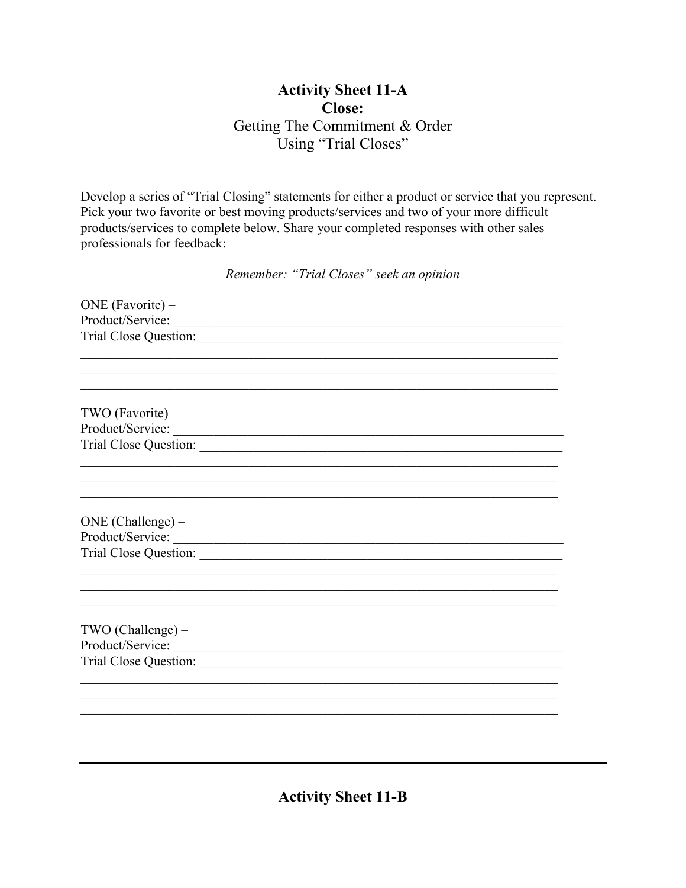## **Activity Sheet 11-A Close:** Getting The Commitment & Order Using "Trial Closes"

Develop a series of "Trial Closing" statements for either a product or service that you represent. Pick your two favorite or best moving products/services and two of your more difficult products/services to complete below. Share your completed responses with other sales professionals for feedback:

Remember: "Trial Closes" seek an opinion

| ONE (Favorite) -   |  |  |
|--------------------|--|--|
| Product/Service:   |  |  |
|                    |  |  |
|                    |  |  |
|                    |  |  |
|                    |  |  |
| $TWO$ (Favorite) – |  |  |
| Product/Service:   |  |  |
|                    |  |  |
|                    |  |  |
|                    |  |  |
|                    |  |  |
|                    |  |  |
| ONE (Challenge) -  |  |  |
| Product/Service:   |  |  |
|                    |  |  |
|                    |  |  |
|                    |  |  |
|                    |  |  |
|                    |  |  |
| TWO (Challenge) -  |  |  |
| Product/Service:   |  |  |
|                    |  |  |
|                    |  |  |
|                    |  |  |
|                    |  |  |

**Activity Sheet 11-B**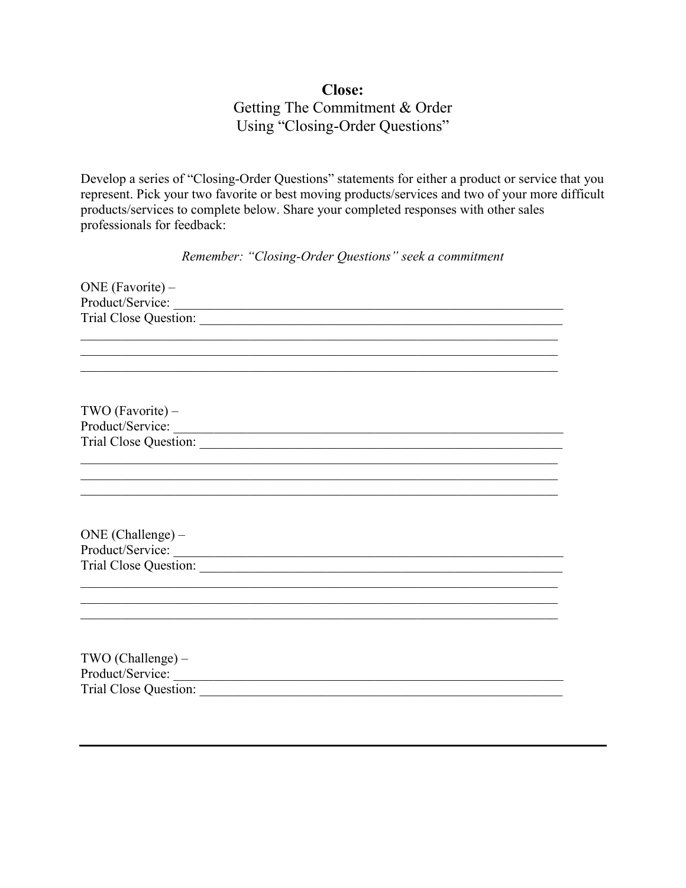## **Close:** Getting The Commitment & Order Using "Closing-Order Questions"

Develop a series of "Closing-Order Questions" statements for either a product or service that you represent. Pick your two favorite or best moving products/services and two of your more difficult products/services to complete below. Share your completed responses with other sales professionals for feedback:

*Remember: "Closing-Order Questions" seek a commitment*

| ONE (Favorite) -      |  |
|-----------------------|--|
| Product/Service:      |  |
|                       |  |
|                       |  |
|                       |  |
|                       |  |
|                       |  |
|                       |  |
| $TWO$ (Favorite) –    |  |
| Product/Service:      |  |
|                       |  |
|                       |  |
|                       |  |
|                       |  |
|                       |  |
|                       |  |
| $ONE (Challenge) -$   |  |
| Product/Service:      |  |
|                       |  |
|                       |  |
|                       |  |
|                       |  |
|                       |  |
|                       |  |
| TWO (Challenge) -     |  |
| Product/Service:      |  |
| Trial Close Question: |  |